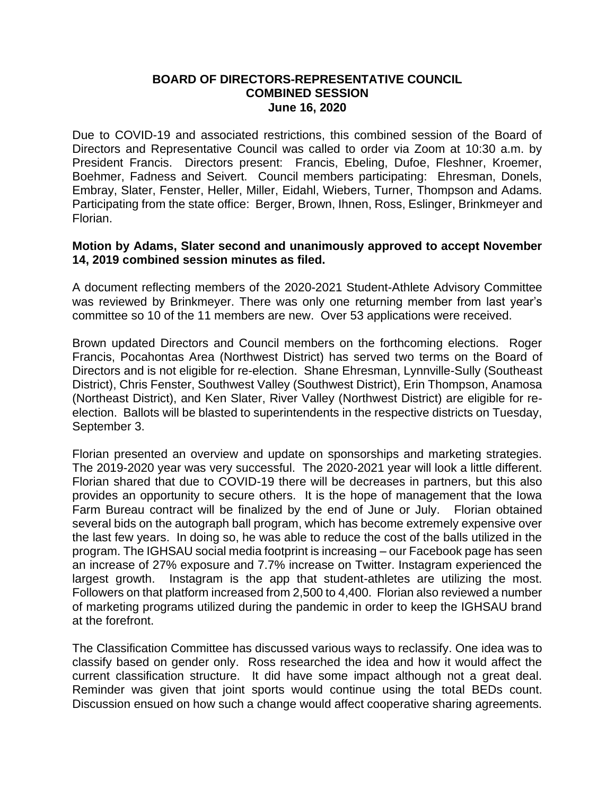## **BOARD OF DIRECTORS-REPRESENTATIVE COUNCIL COMBINED SESSION June 16, 2020**

Due to COVID-19 and associated restrictions, this combined session of the Board of Directors and Representative Council was called to order via Zoom at 10:30 a.m. by President Francis. Directors present: Francis, Ebeling, Dufoe, Fleshner, Kroemer, Boehmer, Fadness and Seivert. Council members participating: Ehresman, Donels, Embray, Slater, Fenster, Heller, Miller, Eidahl, Wiebers, Turner, Thompson and Adams. Participating from the state office: Berger, Brown, Ihnen, Ross, Eslinger, Brinkmeyer and Florian.

## **Motion by Adams, Slater second and unanimously approved to accept November 14, 2019 combined session minutes as filed.**

A document reflecting members of the 2020-2021 Student-Athlete Advisory Committee was reviewed by Brinkmeyer. There was only one returning member from last year's committee so 10 of the 11 members are new. Over 53 applications were received.

Brown updated Directors and Council members on the forthcoming elections. Roger Francis, Pocahontas Area (Northwest District) has served two terms on the Board of Directors and is not eligible for re-election. Shane Ehresman, Lynnville-Sully (Southeast District), Chris Fenster, Southwest Valley (Southwest District), Erin Thompson, Anamosa (Northeast District), and Ken Slater, River Valley (Northwest District) are eligible for reelection. Ballots will be blasted to superintendents in the respective districts on Tuesday, September 3.

Florian presented an overview and update on sponsorships and marketing strategies. The 2019-2020 year was very successful. The 2020-2021 year will look a little different. Florian shared that due to COVID-19 there will be decreases in partners, but this also provides an opportunity to secure others. It is the hope of management that the Iowa Farm Bureau contract will be finalized by the end of June or July. Florian obtained several bids on the autograph ball program, which has become extremely expensive over the last few years. In doing so, he was able to reduce the cost of the balls utilized in the program. The IGHSAU social media footprint is increasing – our Facebook page has seen an increase of 27% exposure and 7.7% increase on Twitter. Instagram experienced the largest growth. Instagram is the app that student-athletes are utilizing the most. Followers on that platform increased from 2,500 to 4,400. Florian also reviewed a number of marketing programs utilized during the pandemic in order to keep the IGHSAU brand at the forefront.

The Classification Committee has discussed various ways to reclassify. One idea was to classify based on gender only. Ross researched the idea and how it would affect the current classification structure. It did have some impact although not a great deal. Reminder was given that joint sports would continue using the total BEDs count. Discussion ensued on how such a change would affect cooperative sharing agreements.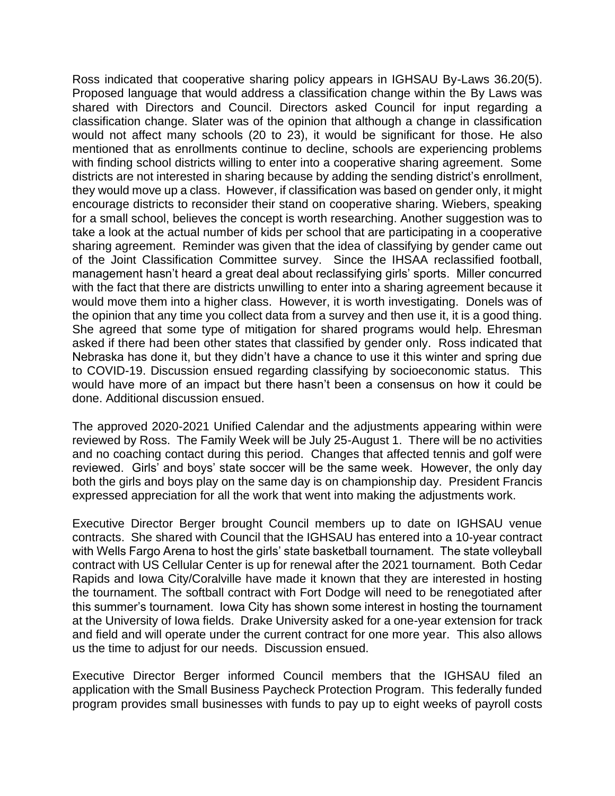Ross indicated that cooperative sharing policy appears in IGHSAU By-Laws 36.20(5). Proposed language that would address a classification change within the By Laws was shared with Directors and Council. Directors asked Council for input regarding a classification change. Slater was of the opinion that although a change in classification would not affect many schools (20 to 23), it would be significant for those. He also mentioned that as enrollments continue to decline, schools are experiencing problems with finding school districts willing to enter into a cooperative sharing agreement. Some districts are not interested in sharing because by adding the sending district's enrollment, they would move up a class. However, if classification was based on gender only, it might encourage districts to reconsider their stand on cooperative sharing. Wiebers, speaking for a small school, believes the concept is worth researching. Another suggestion was to take a look at the actual number of kids per school that are participating in a cooperative sharing agreement. Reminder was given that the idea of classifying by gender came out of the Joint Classification Committee survey. Since the IHSAA reclassified football, management hasn't heard a great deal about reclassifying girls' sports. Miller concurred with the fact that there are districts unwilling to enter into a sharing agreement because it would move them into a higher class. However, it is worth investigating. Donels was of the opinion that any time you collect data from a survey and then use it, it is a good thing. She agreed that some type of mitigation for shared programs would help. Ehresman asked if there had been other states that classified by gender only. Ross indicated that Nebraska has done it, but they didn't have a chance to use it this winter and spring due to COVID-19. Discussion ensued regarding classifying by socioeconomic status. This would have more of an impact but there hasn't been a consensus on how it could be done. Additional discussion ensued.

The approved 2020-2021 Unified Calendar and the adjustments appearing within were reviewed by Ross. The Family Week will be July 25-August 1. There will be no activities and no coaching contact during this period. Changes that affected tennis and golf were reviewed. Girls' and boys' state soccer will be the same week. However, the only day both the girls and boys play on the same day is on championship day. President Francis expressed appreciation for all the work that went into making the adjustments work.

Executive Director Berger brought Council members up to date on IGHSAU venue contracts. She shared with Council that the IGHSAU has entered into a 10-year contract with Wells Fargo Arena to host the girls' state basketball tournament. The state volleyball contract with US Cellular Center is up for renewal after the 2021 tournament. Both Cedar Rapids and Iowa City/Coralville have made it known that they are interested in hosting the tournament. The softball contract with Fort Dodge will need to be renegotiated after this summer's tournament. Iowa City has shown some interest in hosting the tournament at the University of Iowa fields. Drake University asked for a one-year extension for track and field and will operate under the current contract for one more year. This also allows us the time to adjust for our needs. Discussion ensued.

Executive Director Berger informed Council members that the IGHSAU filed an application with the Small Business Paycheck Protection Program. This federally funded program provides small businesses with funds to pay up to eight weeks of payroll costs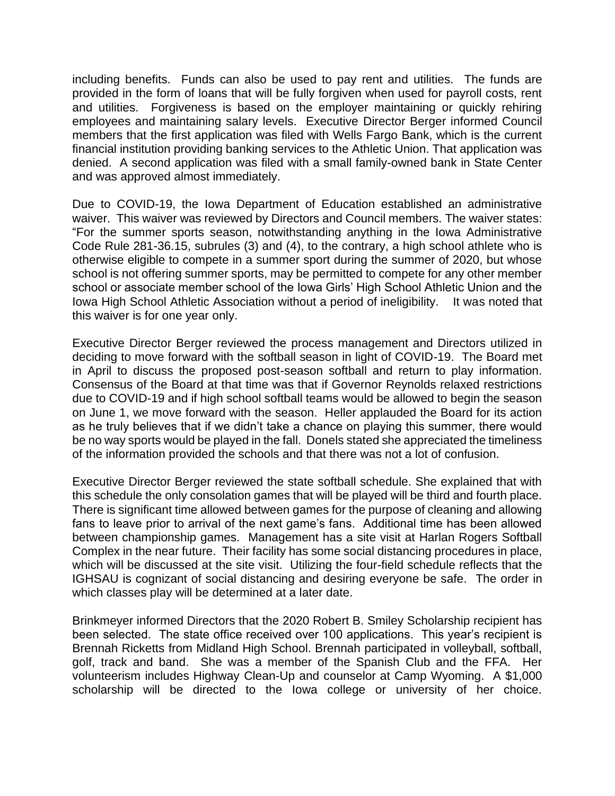including benefits. Funds can also be used to pay rent and utilities. The funds are provided in the form of loans that will be fully forgiven when used for payroll costs, rent and utilities. Forgiveness is based on the employer maintaining or quickly rehiring employees and maintaining salary levels. Executive Director Berger informed Council members that the first application was filed with Wells Fargo Bank, which is the current financial institution providing banking services to the Athletic Union. That application was denied. A second application was filed with a small family-owned bank in State Center and was approved almost immediately.

Due to COVID-19, the Iowa Department of Education established an administrative waiver. This waiver was reviewed by Directors and Council members. The waiver states: "For the summer sports season, notwithstanding anything in the Iowa Administrative Code Rule 281-36.15, subrules (3) and (4), to the contrary, a high school athlete who is otherwise eligible to compete in a summer sport during the summer of 2020, but whose school is not offering summer sports, may be permitted to compete for any other member school or associate member school of the Iowa Girls' High School Athletic Union and the Iowa High School Athletic Association without a period of ineligibility. It was noted that this waiver is for one year only.

Executive Director Berger reviewed the process management and Directors utilized in deciding to move forward with the softball season in light of COVID-19. The Board met in April to discuss the proposed post-season softball and return to play information. Consensus of the Board at that time was that if Governor Reynolds relaxed restrictions due to COVID-19 and if high school softball teams would be allowed to begin the season on June 1, we move forward with the season. Heller applauded the Board for its action as he truly believes that if we didn't take a chance on playing this summer, there would be no way sports would be played in the fall. Donels stated she appreciated the timeliness of the information provided the schools and that there was not a lot of confusion.

Executive Director Berger reviewed the state softball schedule. She explained that with this schedule the only consolation games that will be played will be third and fourth place. There is significant time allowed between games for the purpose of cleaning and allowing fans to leave prior to arrival of the next game's fans. Additional time has been allowed between championship games. Management has a site visit at Harlan Rogers Softball Complex in the near future. Their facility has some social distancing procedures in place, which will be discussed at the site visit. Utilizing the four-field schedule reflects that the IGHSAU is cognizant of social distancing and desiring everyone be safe. The order in which classes play will be determined at a later date.

Brinkmeyer informed Directors that the 2020 Robert B. Smiley Scholarship recipient has been selected. The state office received over 100 applications. This year's recipient is Brennah Ricketts from Midland High School. Brennah participated in volleyball, softball, golf, track and band. She was a member of the Spanish Club and the FFA. Her volunteerism includes Highway Clean-Up and counselor at Camp Wyoming. A \$1,000 scholarship will be directed to the Iowa college or university of her choice.